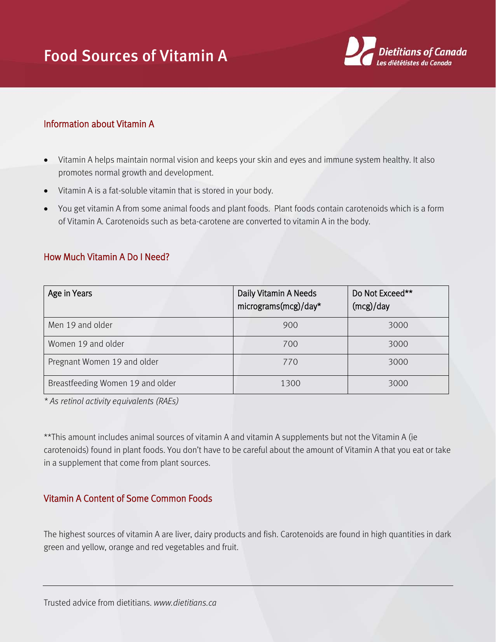## Food Sources of Vitamin A



## Information about Vitamin A

- Vitamin A helps maintain normal vision and keeps your skin and eyes and immune system healthy. It also promotes normal growth and development.
- Vitamin A is a fat-soluble vitamin that is stored in your body.
- You get vitamin A from some animal foods and plant foods. Plant foods contain carotenoids which is a form of Vitamin A. Carotenoids such as beta-carotene are converted to vitamin A in the body.

## How Much Vitamin A Do I Need?

| Age in Years                     | Daily Vitamin A Needs<br>micrograms(mcg)/day* | Do Not Exceed**<br>(mcg)/day |
|----------------------------------|-----------------------------------------------|------------------------------|
| Men 19 and older                 | 900                                           | 3000                         |
| Women 19 and older               | 700                                           | 3000                         |
| Pregnant Women 19 and older      | 770                                           | 3000                         |
| Breastfeeding Women 19 and older | 1300                                          | 3000                         |

*\* As retinol activity equivalents (RAEs)*

\*\*This amount includes animal sources of vitamin A and vitamin A supplements but not the Vitamin A (ie carotenoids) found in plant foods. You don't have to be careful about the amount of Vitamin A that you eat or take in a supplement that come from plant sources.

## Vitamin A Content of Some Common Foods

The highest sources of vitamin A are liver, dairy products and fish. Carotenoids are found in high quantities in dark green and yellow, orange and red vegetables and fruit.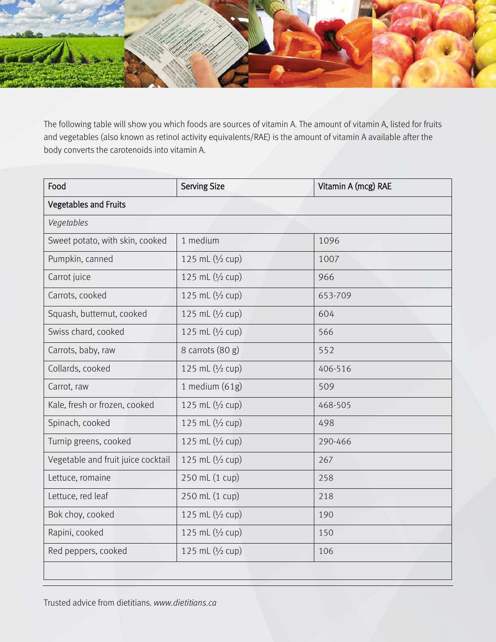

The following table will show you which foods are sources of vitamin A. The amount of vitamin A, listed for fruits and vegetables (also known as retinol activity equivalents/RAE) is the amount of vitamin A available after the body converts the carotenoids into vitamin A.

| Food                               | <b>Serving Size</b> | Vitamin A (mcg) RAE |  |  |
|------------------------------------|---------------------|---------------------|--|--|
| <b>Vegetables and Fruits</b>       |                     |                     |  |  |
| Vegetables                         |                     |                     |  |  |
| Sweet potato, with skin, cooked    | 1 medium            | 1096                |  |  |
| Pumpkin, canned                    | 125 mL $(1/2$ cup)  | 1007                |  |  |
| Carrot juice                       | 125 mL (1/2 cup)    | 966                 |  |  |
| Carrots, cooked                    | 125 mL (1/2 cup)    | 653-709             |  |  |
| Squash, butternut, cooked          | 125 mL (1/2 cup)    | 604                 |  |  |
| Swiss chard, cooked                | 125 mL $(1/2$ cup)  | 566                 |  |  |
| Carrots, baby, raw                 | 8 carrots (80 g)    | 552                 |  |  |
| Collards, cooked                   | 125 mL (1/2 cup)    | 406-516             |  |  |
| Carrot, raw                        | 1 medium $(61g)$    | 509                 |  |  |
| Kale, fresh or frozen, cooked      | 125 mL (1/2 cup)    | 468-505             |  |  |
| Spinach, cooked                    | 125 mL $(1/2$ cup)  | 498                 |  |  |
| Turnip greens, cooked              | 125 mL (1/2 cup)    | 290-466             |  |  |
| Vegetable and fruit juice cocktail | 125 mL (1/2 cup)    | 267                 |  |  |
| Lettuce, romaine                   | 250 mL (1 cup)      | 258                 |  |  |
| Lettuce, red leaf                  | 250 mL (1 cup)      | 218                 |  |  |
| Bok choy, cooked                   | 125 mL $(1/2$ cup)  | 190                 |  |  |
| Rapini, cooked                     | 125 mL (1/2 cup)    | 150                 |  |  |
| Red peppers, cooked                | 125 mL (1/2 cup)    | 106                 |  |  |
|                                    |                     |                     |  |  |

Trusted advice from dietitians. *www.dietitians.ca*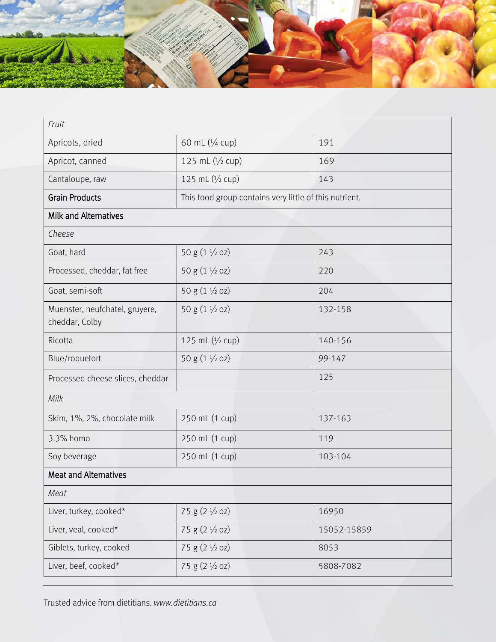

| Fruit                                            |                                                        |             |  |  |
|--------------------------------------------------|--------------------------------------------------------|-------------|--|--|
| Apricots, dried                                  | 60 mL (1/4 cup)                                        | 191         |  |  |
| Apricot, canned                                  | 125 mL $(1/2$ cup)                                     | 169         |  |  |
| Cantaloupe, raw                                  | 125 mL (1/2 cup)                                       | 143         |  |  |
| <b>Grain Products</b>                            | This food group contains very little of this nutrient. |             |  |  |
| <b>Milk and Alternatives</b>                     |                                                        |             |  |  |
| Cheese                                           |                                                        |             |  |  |
| Goat, hard                                       | 50 g (1 1/2 oz)                                        | 243         |  |  |
| Processed, cheddar, fat free                     | 50 g $(1 \frac{1}{2}$ oz)                              | 220         |  |  |
| Goat, semi-soft                                  | 50 g (1 1/2 oz)                                        | 204         |  |  |
| Muenster, neufchatel, gruyere,<br>cheddar, Colby | 50 g (1 1/2 oz)                                        | 132-158     |  |  |
| Ricotta                                          | 125 mL (1/2 cup)                                       | 140-156     |  |  |
| Blue/roquefort                                   | 50 g (1 1/2 oz)                                        | 99-147      |  |  |
| Processed cheese slices, cheddar                 |                                                        | 125         |  |  |
| Milk                                             |                                                        |             |  |  |
| Skim, 1%, 2%, chocolate milk                     | 250 mL (1 cup)                                         | 137-163     |  |  |
| 3.3% homo                                        | 250 mL (1 cup)                                         | 119         |  |  |
| Soy beverage                                     | 250 mL (1 cup)                                         | 103-104     |  |  |
| <b>Meat and Alternatives</b>                     |                                                        |             |  |  |
| Meat                                             |                                                        |             |  |  |
| Liver, turkey, cooked*                           | 75 g $(2 \frac{1}{2}$ oz)                              | 16950       |  |  |
| Liver, veal, cooked*                             | 75 g (2 1/2 oz)                                        | 15052-15859 |  |  |
| Giblets, turkey, cooked                          | 75 g $(2 \frac{1}{2}$ oz)                              | 8053        |  |  |
| Liver, beef, cooked*                             | 75 g $(2 \frac{1}{2}$ oz)                              | 5808-7082   |  |  |

Trusted advice from dietitians. *www.dietitians.ca*